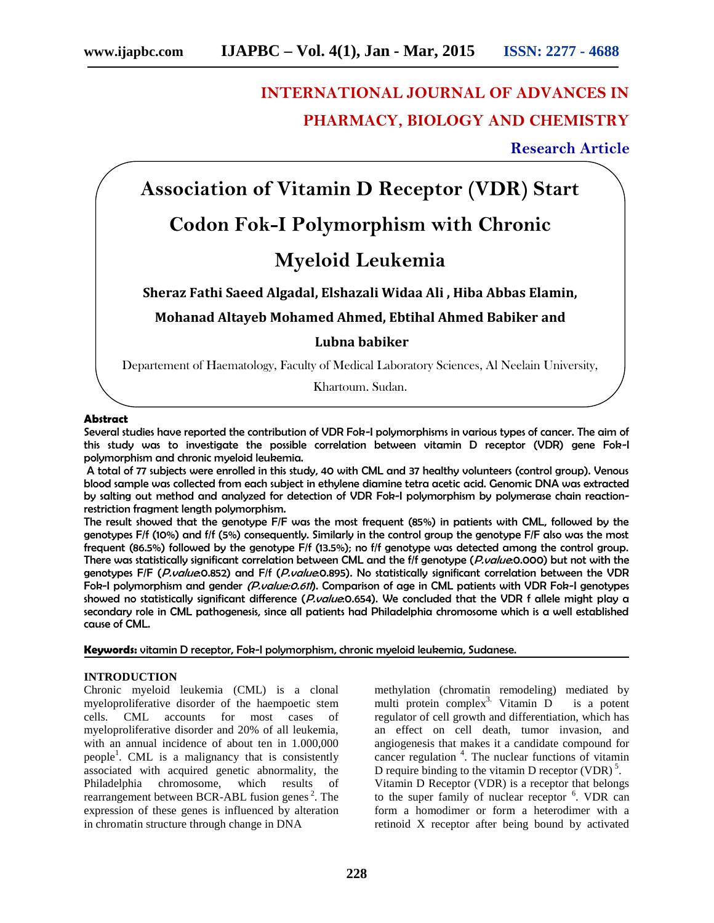# **INTERNATIONAL JOURNAL OF ADVANCES IN PHARMACY, BIOLOGY AND CHEMISTRY**

# **Research Article**

**Association of Vitamin D Receptor (VDR) Start**

# **Codon Fok-I Polymorphism with Chronic**

# **Myeloid Leukemia**

**Sheraz Fathi Saeed Algadal, Elshazali Widaa Ali , Hiba Abbas Elamin,**

**Mohanad Altayeb Mohamed Ahmed, Ebtihal Ahmed Babiker and**

## **Lubna babiker**

Departement of Haematology, Faculty of Medical Laboratory Sciences, Al Neelain University,

Khartoum, Sudan.

### **Abstract**

Several studies have reported the contribution of VDR Fok-I polymorphisms in various types of cancer. The aim of this study was to investigate the possible correlation between vitamin D receptor (VDR) gene Fok-I polymorphism and chronic myeloid leukemia.

A total of 77 subjects were enrolled in this study, 40 with CML and 37 healthy volunteers (control group). Venous blood sample was collected from each subject in ethylene diamine tetra acetic acid. Genomic DNA was extracted by salting out method and analyzed for detection of VDR Fok-I polymorphism by polymerase chain reactionrestriction fragment length polymorphism.

The result showed that the genotype F/F was the most frequent (85%) in patients with CML, followed by the genotypes F/f (10%) and f/f (5%) consequently. Similarly in the control group the genotype F/F also was the most frequent (86.5%) followed by the genotype F/f (13.5%); no f/f genotype was detected among the control group. There was statistically significant correlation between CML and the f/f genotype (*P.value*:0.000) but not with the genotypes F/F (*P.value*:0.852) and F/f (*P.value*:0.895). No statistically significant correlation between the VDR Fok-I polymorphism and gender *(P.value:0.611*). Comparison of age in CML patients with VDR Fok-I genotypes showed no statistically significant difference (*P.value*:0.654). We concluded that the VDR f allele might play a secondary role in CML pathogenesis, since all patients had Philadelphia chromosome which is a well established cause of CML.

**Keywords:** vitamin D receptor, Fok-I polymorphism, chronic myeloid leukemia, Sudanese.

## **INTRODUCTION**

Chronic myeloid leukemia (CML) is a clonal myeloproliferative disorder of the haempoetic stem cells. CML accounts for most cases of myeloproliferative disorder and 20% of all leukemia, with an annual incidence of about ten in 1.000,000 people<sup>1</sup>. CML is a malignancy that is consistently can associated with acquired genetic abnormality, the Philadelphia chromosome, which results of rearrangement between BCR-ABL fusion genes<sup>2</sup>. The expression of these genes is influenced by alteration in chromatin structure through change in DNA

methylation (chromatin remodeling) mediated by multi protein complex<sup>3.</sup> Vitamin  $D$  is a potent regulator of cell growth and differentiation, which has an effect on cell death, tumor invasion, and angiogenesis that makes it a candidate compound for cancer regulation <sup>4</sup> . The nuclear functions of vitamin D require binding to the vitamin D receptor  $(VDR)^5$ . Vitamin D Receptor (VDR) is a receptor that belongs to the super family of nuclear receptor <sup>6</sup>. VDR can form a homodimer or form a heterodimer with a retinoid X receptor after being bound by activated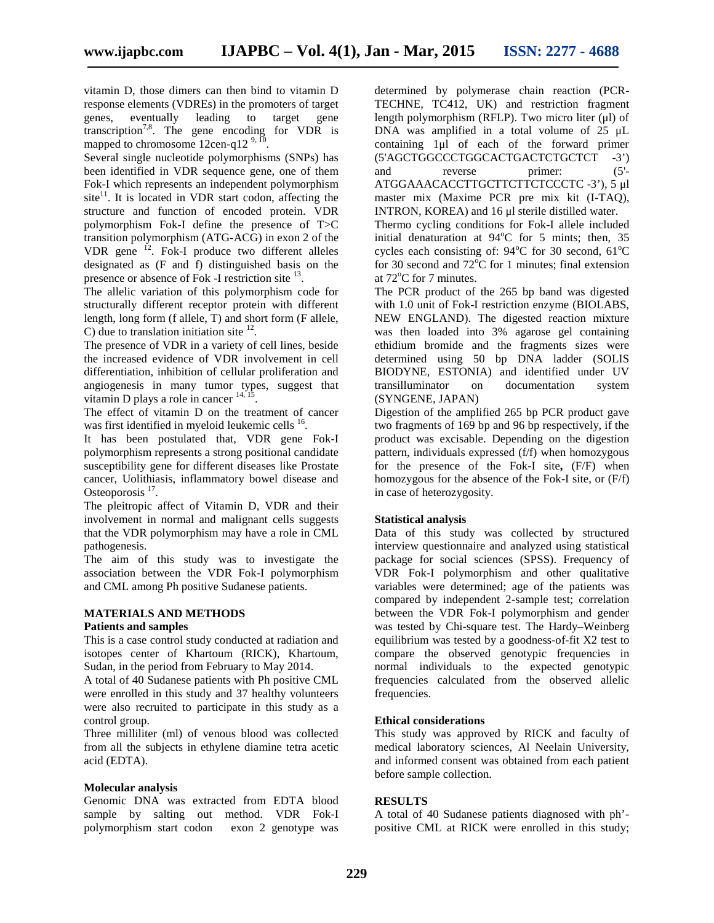vitamin D, those dimers can then bind to vitamin D response elements (VDREs) in the promoters of target genes, eventually leading to target gene transcription<sup>7,8</sup>. The gene encoding for VDR is mapped to chromosome  $12$ cen-q $12^{9, 10}$ 

Several single nucleotide polymorphisms (SNPs) has been identified in VDR sequence gene, one of them Fok-I which represents an independent polymorphism site<sup>11</sup>. It is located in VDR start codon, affecting the structure and function of encoded protein. VDR polymorphism Fok-I define the presence of T>C transition polymorphism (ATG-ACG) in exon 2 of the VDR gene <sup>12</sup>. Fok-I produce two different alleles designated as (F and f) distinguished basis on the presence or absence of Fok -I restriction site <sup>13</sup>.

The allelic variation of this polymorphism code for structurally different receptor protein with different length, long form (f allele, T) and short form (F allele, C) due to translation initiation site  $^{12}$ .

The presence of VDR in a variety of cell lines, beside the increased evidence of VDR involvement in cell differentiation, inhibition of cellular proliferation and angiogenesis in many tumor types, suggest that vitamin D plays a role in cancer  $14, 15$ . .

The effect of vitamin D on the treatment of cancer was first identified in myeloid leukemic cells <sup>16</sup>.

It has been postulated that, VDR gene Fok-I polymorphism represents a strong positional candidate susceptibility gene for different diseases like Prostate cancer, Uolithiasis, inflammatory bowel disease and Osteoporosis<sup>17</sup>.

The pleitropic affect of Vitamin D, VDR and their involvement in normal and malignant cells suggests that the VDR polymorphism may have a role in CML pathogenesis.

The aim of this study was to investigate the association between the VDR Fok-I polymorphism and CML among Ph positive Sudanese patients.

#### **MATERIALS AND METHODS**

#### **Patients and samples**

This is a case control study conducted at radiation and isotopes center of Khartoum (RICK), Khartoum, Sudan, in the period from February to May 2014.

A total of 40 Sudanese patients with Ph positive CML were enrolled in this study and 37 healthy volunteers were also recruited to participate in this study as a control group.

Three milliliter (ml) of venous blood was collected from all the subjects in ethylene diamine tetra acetic acid (EDTA).

#### **Molecular analysis**

Genomic DNA was extracted from EDTA blood sample by salting out method. VDR Fok-I polymorphism start codon exon 2 genotype was

determined by polymerase chain reaction (PCR- TECHNE, TC412, UK) and restriction fragment length polymorphism (RFLP). Two micro liter (μl) of DNA was amplified in a total volume of 25 μL containing 1μl of each of the forward primer (5'AGCTGGCCCTGGCACTGACTCTGCTCT -3') reverse primer:  $(5'-$ ATGGAAACACCTTGCTTCTTCTCCCTC -3'), 5 μl master mix (Maxime PCR pre mix kit (I-TAQ), INTRON, KOREA) and 16 μl sterile distilled water.

Thermo cycling conditions for Fok-I allele included initial denaturation at  $94^{\circ}$ C for 5 mints; then, 35 cycles each consisting of:  $94^{\circ}$ C for 30 second,  $61^{\circ}$ C for 30 second and  $72^{\circ}$ C for 1 minutes; final extension at  $72^{\circ}$ C for 7 minutes.

The PCR product of the 265 bp band was digested with 1.0 unit of Fok-I restriction enzyme (BIOLABS, NEW ENGLAND). The digested reaction mixture was then loaded into 3% agarose gel containing ethidium bromide and the fragments sizes were determined using 50 bp DNA ladder (SOLIS BIODYNE, ESTONIA) and identified under UV transilluminator on documentation system (SYNGENE, JAPAN)

Digestion of the amplified 265 bp PCR product gave two fragments of 169 bp and 96 bp respectively, if the product was excisable. Depending on the digestion pattern, individuals expressed (f/f) when homozygous for the presence of the Fok-I site**,** (F/F) when homozygous for the absence of the Fok-I site, or (F/f) in case of heterozygosity.

#### **Statistical analysis**

Data of this study was collected by structured interview questionnaire and analyzed using statistical package for social sciences (SPSS). Frequency of VDR Fok-I polymorphism and other qualitative variables were determined; age of the patients was compared by independent 2-sample test; correlation between the VDR Fok-I polymorphism and gender was tested by Chi-square test. The Hardy–Weinberg equilibrium was tested by a goodness-of-fit X2 test to compare the observed genotypic frequencies in normal individuals to the expected genotypic frequencies calculated from the observed allelic frequencies.

#### **Ethical considerations**

This study was approved by RICK and faculty of medical laboratory sciences, Al Neelain University, and informed consent was obtained from each patient before sample collection.

#### **RESULTS**

A total of 40 Sudanese patients diagnosed with ph' positive CML at RICK were enrolled in this study;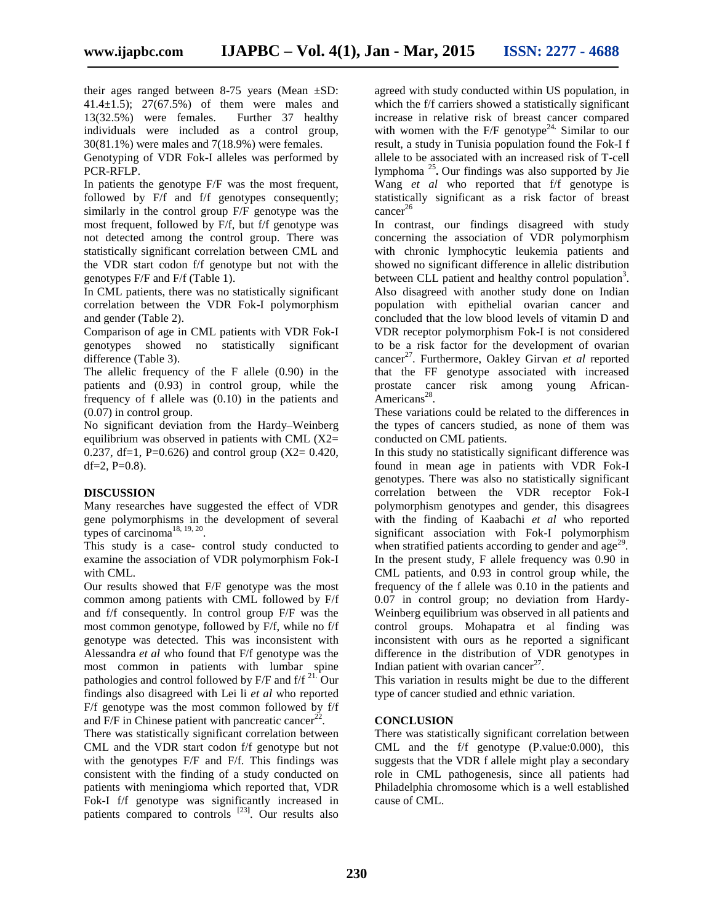their ages ranged between 8-75 years (Mean ±SD: 41.4 $\pm$ 1.5); 27(67.5%) of them were males and 13(32.5%) were females. Further 37 healthy individuals were included as a control group, 30(81.1%) were males and 7(18.9%) were females.

Genotyping of VDR Fok-I alleles was performed by PCR-RFLP.

In patients the genotype F/F was the most frequent, followed by F/f and f/f genotypes consequently; similarly in the control group F/F genotype was the most frequent, followed by F/f, but f/f genotype was not detected among the control group. There was statistically significant correlation between CML and the VDR start codon f/f genotype but not with the genotypes F/F and F/f (Table 1).

In CML patients, there was no statistically significant correlation between the VDR Fok-I polymorphism and gender (Table 2).

Comparison of age in CML patients with VDR Fok-I genotypes showed no statistically significant difference (Table 3).

The allelic frequency of the F allele (0.90) in the patients and (0.93) in control group, while the frequency of f allele was (0.10) in the patients and (0.07) in control group.

No significant deviation from the Hardy–Weinberg equilibrium was observed in patients with CML (X2= 0.237, df=1, P=0.626) and control group  $(X2= 0.420, ...)$ df=2,  $P=0.8$ ).

## **DISCUSSION**

Many researches have suggested the effect of VDR gene polymorphisms in the development of several types of carcinoma<sup>18, 19, 20</sup>.

This study is a case- control study conducted to examine the association of VDR polymorphism Fok-I with CML.

Our results showed that F/F genotype was the most common among patients with CML followed by F/f and f/f consequently. In control group F/F was the most common genotype, followed by F/f, while no f/f genotype was detected. This was inconsistent with Alessandra *et al* who found that F/f genotype was the most common in patients with lumbar spine pathologies and control followed by F/F and f/f 21. Our findings also disagreed with Lei li *et al* who reported F/f genotype was the most common followed by f/f and  $F/F$  in Chinese patient with pancreatic cancer<sup>22</sup>.

There was statistically significant correlation between CML and the VDR start codon f/f genotype but not with the genotypes F/F and F/f. This findings was consistent with the finding of a study conducted on patients with meningioma which reported that, VDR Fok-I f/f genotype was significantly increased in patients compared to controls [23**]**. Our results also

agreed with study conducted within US population, in which the f/f carriers showed a statistically significant increase in relative risk of breast cancer compared with women with the F/F genotype<sup>24</sup>. Similar to our result, a study in Tunisia population found the Fok-I f allele to be associated with an increased risk of T-cell lymphoma <sup>25</sup> **.** Our findings was also supported by Jie Wang *et al* who reported that f/f genotype is statistically significant as a risk factor of breast  $cancer^{26}$ 

In contrast, our findings disagreed with study concerning the association of VDR polymorphism with chronic lymphocytic leukemia patients and showed no significant difference in allelic distribution between CLL patient and healthy control population<sup>3</sup>. Also disagreed with another study done on Indian population with epithelial ovarian cancer and concluded that the low blood levels of vitamin D and VDR receptor polymorphism Fok-I is not considered to be a risk factor for the development of ovarian cancer<sup>27</sup>. Furthermore, Oakley Girvan *et al* reported that the FF genotype associated with increased prostate cancer risk among young African-  $A$ mericans<sup>28</sup>.

These variations could be related to the differences in the types of cancers studied, as none of them was conducted on CML patients.

In this study no statistically significant difference was found in mean age in patients with VDR Fok-I genotypes. There was also no statistically significant correlation between the VDR receptor Fok-I polymorphism genotypes and gender, this disagrees with the finding of Kaabachi *et al* who reported significant association with Fok-I polymorphism when stratified patients according to gender and  $age^{29}$ . In the present study, F allele frequency was 0.90 in CML patients, and 0.93 in control group while, the frequency of the f allele was 0.10 in the patients and 0.07 in control group; no deviation from Hardy- Weinberg equilibrium was observed in all patients and control groups. Mohapatra et al finding was inconsistent with ours as he reported a significant difference in the distribution of VDR genotypes in Indian patient with ovarian cancer<sup>27</sup>.

This variation in results might be due to the different type of cancer studied and ethnic variation.

#### **CONCLUSION**

There was statistically significant correlation between CML and the f/f genotype (P.value:0.000), this suggests that the VDR f allele might play a secondary role in CML pathogenesis, since all patients had Philadelphia chromosome which is a well established cause of CML.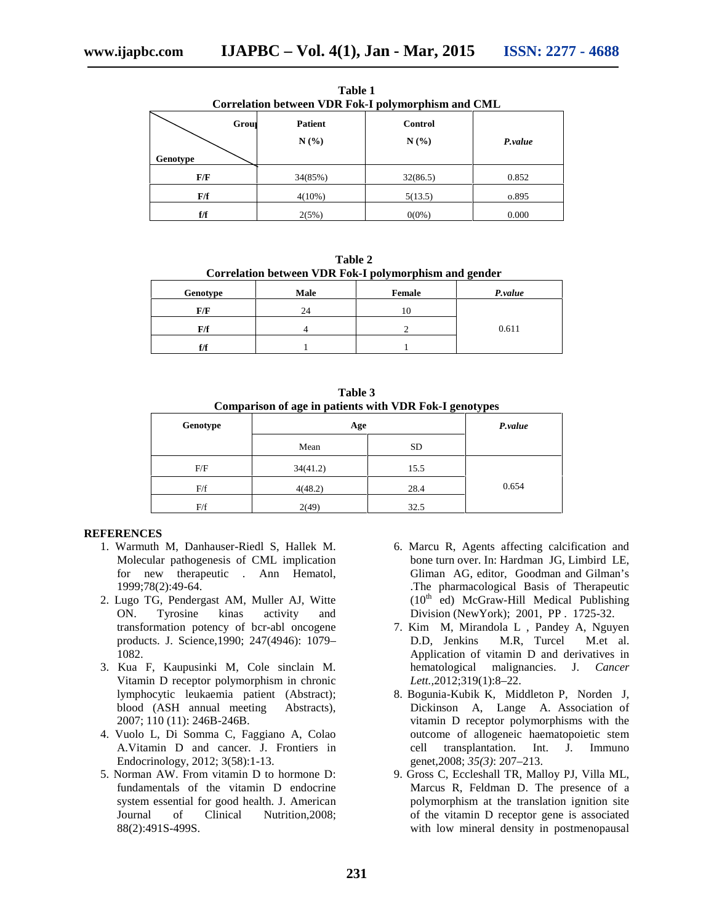| Correlation between VDR Fok-I polymorphism and CML |       |                |                |         |  |  |
|----------------------------------------------------|-------|----------------|----------------|---------|--|--|
|                                                    | Group | <b>Patient</b> | <b>Control</b> |         |  |  |
|                                                    |       | N(%)           | N(%)           | P.value |  |  |
| Genotype                                           |       |                |                |         |  |  |
| F/F                                                |       | 34(85%)        | 32(86.5)       | 0.852   |  |  |
| F/f                                                |       | $4(10\%)$      | 5(13.5)        | 0.895   |  |  |
| f/f                                                |       | 2(5%)          | $0(0\%)$       | 0.000   |  |  |

**Table 1**

**Table 2 Correlation between VDR Fok-I polymorphism and gender**

| Genotype | <b>Male</b> | Female | P.value |
|----------|-------------|--------|---------|
| F/F      | 24          | 10     |         |
| F/f      |             |        | 0.611   |
| f/f      |             |        |         |

**Table 3 Comparison of age in patients with VDR Fok-I genotypes**

| Genotype | Age      | P.value   |       |
|----------|----------|-----------|-------|
|          | Mean     | <b>SD</b> |       |
| F/F      | 34(41.2) | 15.5      |       |
| F/f      | 4(48.2)  | 28.4      | 0.654 |
| F/f      | 2(49)    | 32.5      |       |

## **REFERENCES**

- 1. Warmuth M, Danhauser-Riedl S, Hallek M. Molecular pathogenesis of CML implication for new therapeutic . Ann Hematol, 1999;78(2):49-64.
- 2. Lugo TG, Pendergast AM, Muller AJ, Witte ON. Tyrosine kinas activity and transformation potency of bcr-abl oncogene products. J. Science,1990; 247(4946): 1079– 1082.
- 3. Kua F, Kaupusinki M, Cole sinclain M. Vitamin D receptor polymorphism in chronic lymphocytic leukaemia patient (Abstract); blood (ASH annual meeting Abstracts), 2007; 110 (11): 246B-246B.
- 4. Vuolo L, Di Somma C, Faggiano A, Colao A.Vitamin D and cancer. J. Frontiers in Endocrinology, 2012; 3(58):1-13.
- 5. Norman AW. From vitamin D to hormone D: fundamentals of the vitamin D endocrine system essential for good health. J. American Journal of Clinical Nutrition,2008; 88(2):491S-499S.
- 6. Marcu R, Agents affecting calcification and bone turn over. In: Hardman JG, Limbird LE, Gliman AG, editor, Goodman and Gilman's .The pharmacological Basis of Therapeutic  $(10<sup>th</sup>$  ed) McGraw-Hill Medical Publishing Division (NewYork); 2001, PP . 1725-32.
- 7. Kim M, Mirandola L , Pandey A, Nguyen D.D, Jenkins M.R, Turcel M.et al. Application of vitamin D and derivatives in hematological malignancies. J. *Cancer Lett.,*2012;319(1):8–22.
- 8. Bogunia-Kubik K, Middleton P, Norden J, Dickinson A, Lange A. Association of vitamin D receptor polymorphisms with the outcome of allogeneic haematopoietic stem cell transplantation. Int. J. Immuno genet*,*2008; *35(3)*: 207–213.
- 9. Gross C, Eccleshall TR, Malloy PJ, Villa ML, Marcus R, Feldman D. The presence of a polymorphism at the translation ignition site of the vitamin D receptor gene is associated with low mineral density in postmenopausal